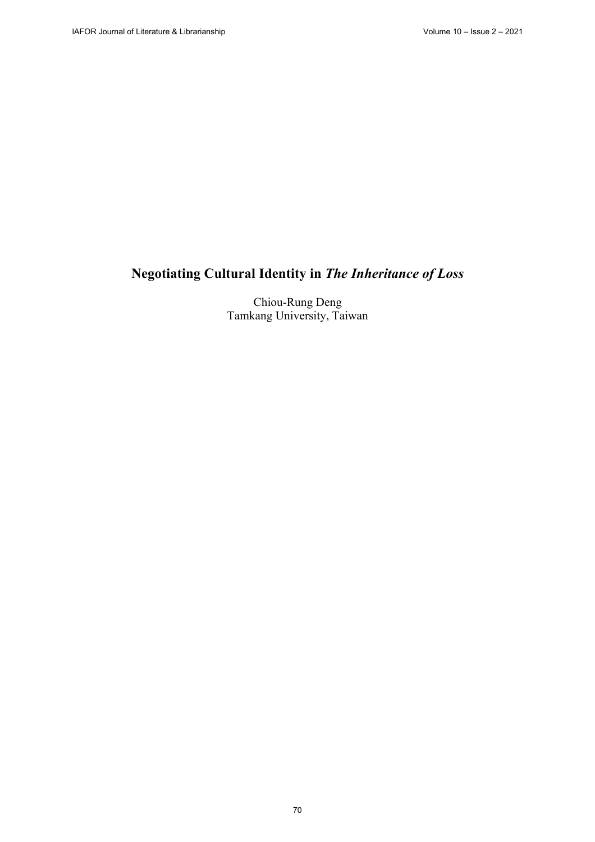# **Negotiating Cultural Identity in** *The Inheritance of Loss*

Chiou-Rung Deng Tamkang University, Taiwan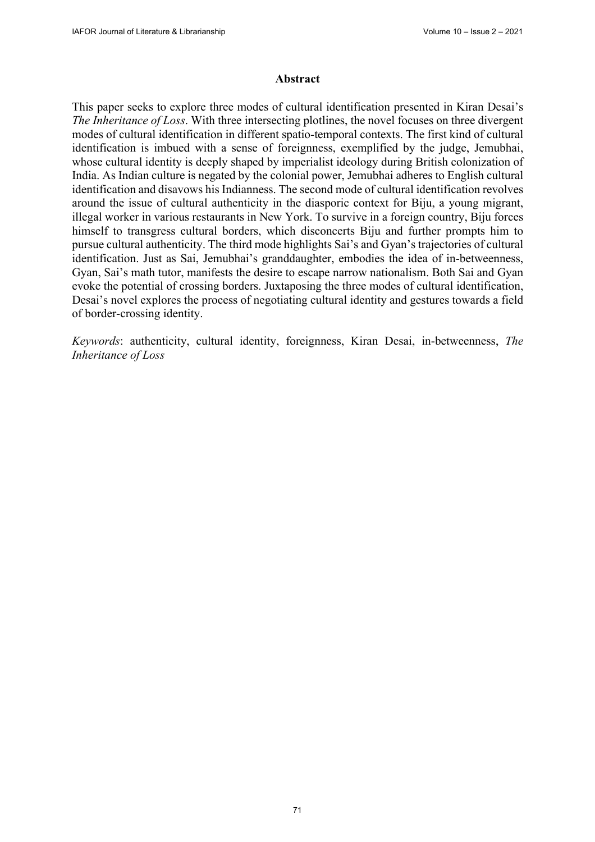#### **Abstract**

This paper seeks to explore three modes of cultural identification presented in Kiran Desai's *The Inheritance of Loss*. With three intersecting plotlines, the novel focuses on three divergent modes of cultural identification in different spatio-temporal contexts. The first kind of cultural identification is imbued with a sense of foreignness, exemplified by the judge, Jemubhai, whose cultural identity is deeply shaped by imperialist ideology during British colonization of India. As Indian culture is negated by the colonial power, Jemubhai adheres to English cultural identification and disavows his Indianness. The second mode of cultural identification revolves around the issue of cultural authenticity in the diasporic context for Biju, a young migrant, illegal worker in various restaurants in New York. To survive in a foreign country, Biju forces himself to transgress cultural borders, which disconcerts Biju and further prompts him to pursue cultural authenticity. The third mode highlights Sai's and Gyan's trajectories of cultural identification. Just as Sai, Jemubhai's granddaughter, embodies the idea of in-betweenness, Gyan, Sai's math tutor, manifests the desire to escape narrow nationalism. Both Sai and Gyan evoke the potential of crossing borders. Juxtaposing the three modes of cultural identification, Desai's novel explores the process of negotiating cultural identity and gestures towards a field of border-crossing identity.

*Keywords*: authenticity, cultural identity, foreignness, Kiran Desai, in-betweenness, *The Inheritance of Loss*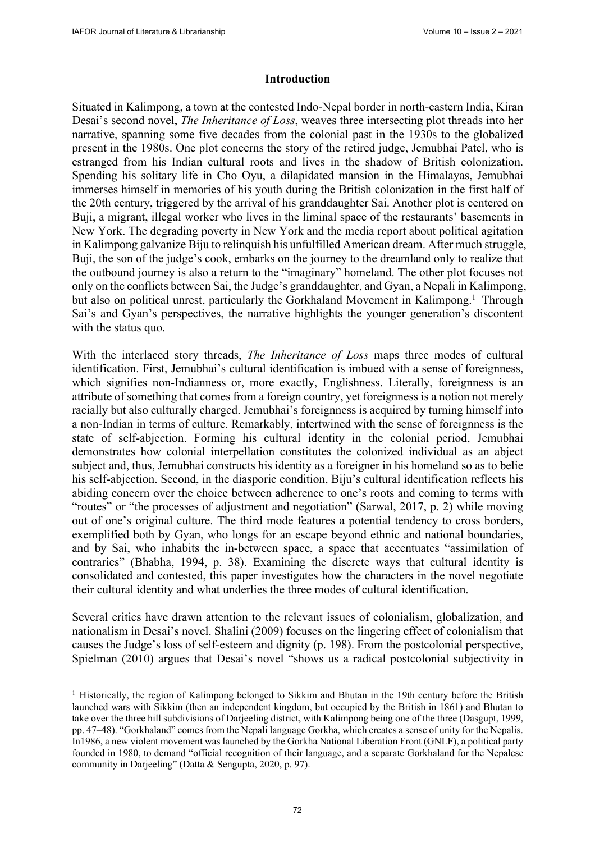#### **Introduction**

Situated in Kalimpong, a town at the contested Indo-Nepal border in north-eastern India, Kiran Desai's second novel, *The Inheritance of Loss*, weaves three intersecting plot threads into her narrative, spanning some five decades from the colonial past in the 1930s to the globalized present in the 1980s. One plot concerns the story of the retired judge, Jemubhai Patel, who is estranged from his Indian cultural roots and lives in the shadow of British colonization. Spending his solitary life in Cho Oyu, a dilapidated mansion in the Himalayas, Jemubhai immerses himself in memories of his youth during the British colonization in the first half of the 20th century, triggered by the arrival of his granddaughter Sai. Another plot is centered on Buji, a migrant, illegal worker who lives in the liminal space of the restaurants' basements in New York. The degrading poverty in New York and the media report about political agitation in Kalimpong galvanize Biju to relinquish his unfulfilled American dream. After much struggle, Buji, the son of the judge's cook, embarks on the journey to the dreamland only to realize that the outbound journey is also a return to the "imaginary" homeland. The other plot focuses not only on the conflicts between Sai, the Judge's granddaughter, and Gyan, a Nepali in Kalimpong, but also on political unrest, particularly the Gorkhaland Movement in Kalimpong.<sup>1</sup> Through Sai's and Gyan's perspectives, the narrative highlights the younger generation's discontent with the status quo.

With the interlaced story threads, *The Inheritance of Loss* maps three modes of cultural identification. First, Jemubhai's cultural identification is imbued with a sense of foreignness, which signifies non-Indianness or, more exactly, Englishness. Literally, foreignness is an attribute of something that comes from a foreign country, yet foreignness is a notion not merely racially but also culturally charged. Jemubhai's foreignness is acquired by turning himself into a non-Indian in terms of culture. Remarkably, intertwined with the sense of foreignness is the state of self-abjection. Forming his cultural identity in the colonial period, Jemubhai demonstrates how colonial interpellation constitutes the colonized individual as an abject subject and, thus, Jemubhai constructs his identity as a foreigner in his homeland so as to belie his self-abjection. Second, in the diasporic condition, Biju's cultural identification reflects his abiding concern over the choice between adherence to one's roots and coming to terms with "routes" or "the processes of adjustment and negotiation" (Sarwal, 2017, p. 2) while moving out of one's original culture. The third mode features a potential tendency to cross borders, exemplified both by Gyan, who longs for an escape beyond ethnic and national boundaries, and by Sai, who inhabits the in-between space, a space that accentuates "assimilation of contraries" (Bhabha, 1994, p. 38). Examining the discrete ways that cultural identity is consolidated and contested, this paper investigates how the characters in the novel negotiate their cultural identity and what underlies the three modes of cultural identification.

Several critics have drawn attention to the relevant issues of colonialism, globalization, and nationalism in Desai's novel. Shalini (2009) focuses on the lingering effect of colonialism that causes the Judge's loss of self-esteem and dignity (p. 198). From the postcolonial perspective, Spielman (2010) argues that Desai's novel "shows us a radical postcolonial subjectivity in

<sup>&</sup>lt;sup>1</sup> Historically, the region of Kalimpong belonged to Sikkim and Bhutan in the 19th century before the British launched wars with Sikkim (then an independent kingdom, but occupied by the British in 1861) and Bhutan to take over the three hill subdivisions of Darjeeling district, with Kalimpong being one of the three (Dasgupt, 1999, pp. 47–48). "Gorkhaland" comes from the Nepali language Gorkha, which creates a sense of unity for the Nepalis. In1986, a new violent movement was launched by the Gorkha National Liberation Front (GNLF), a political party founded in 1980, to demand "official recognition of their language, and a separate Gorkhaland for the Nepalese community in Darjeeling" (Datta & Sengupta, 2020, p. 97).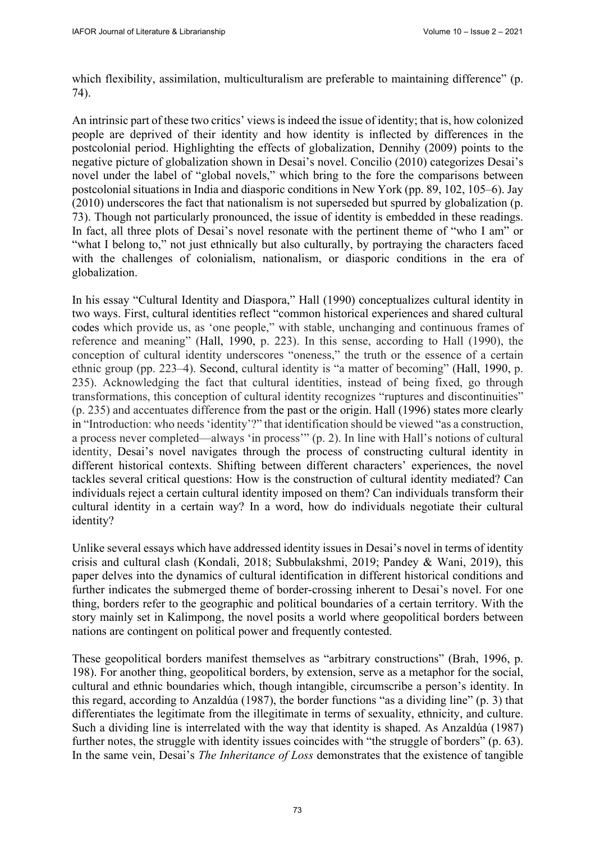which flexibility, assimilation, multiculturalism are preferable to maintaining difference" (p. 74).

An intrinsic part of these two critics' views is indeed the issue of identity; that is, how colonized people are deprived of their identity and how identity is inflected by differences in the postcolonial period. Highlighting the effects of globalization, Dennihy (2009) points to the negative picture of globalization shown in Desai's novel. Concilio (2010) categorizes Desai's novel under the label of "global novels," which bring to the fore the comparisons between postcolonial situations in India and diasporic conditions in New York (pp. 89, 102, 105–6). Jay (2010) underscores the fact that nationalism is not superseded but spurred by globalization (p. 73). Though not particularly pronounced, the issue of identity is embedded in these readings. In fact, all three plots of Desai's novel resonate with the pertinent theme of "who I am" or "what I belong to," not just ethnically but also culturally, by portraying the characters faced with the challenges of colonialism, nationalism, or diasporic conditions in the era of globalization.

In his essay "Cultural Identity and Diaspora," Hall (1990) conceptualizes cultural identity in two ways. First, cultural identities reflect "common historical experiences and shared cultural codes which provide us, as 'one people," with stable, unchanging and continuous frames of reference and meaning" (Hall, 1990, p. 223). In this sense, according to Hall (1990), the conception of cultural identity underscores "oneness," the truth or the essence of a certain ethnic group (pp. 223–4). Second, cultural identity is "a matter of becoming" (Hall, 1990, p. 235). Acknowledging the fact that cultural identities, instead of being fixed, go through transformations, this conception of cultural identity recognizes "ruptures and discontinuities" (p. 235) and accentuates difference from the past or the origin. Hall (1996) states more clearly in "Introduction: who needs 'identity'?" that identification should be viewed "as a construction, a process never completed—always 'in process'" (p. 2). In line with Hall's notions of cultural identity, Desai's novel navigates through the process of constructing cultural identity in different historical contexts. Shifting between different characters' experiences, the novel tackles several critical questions: How is the construction of cultural identity mediated? Can individuals reject a certain cultural identity imposed on them? Can individuals transform their cultural identity in a certain way? In a word, how do individuals negotiate their cultural identity?

Unlike several essays which have addressed identity issues in Desai's novel in terms of identity crisis and cultural clash (Kondali, 2018; Subbulakshmi, 2019; Pandey & Wani, 2019), this paper delves into the dynamics of cultural identification in different historical conditions and further indicates the submerged theme of border-crossing inherent to Desai's novel. For one thing, borders refer to the geographic and political boundaries of a certain territory. With the story mainly set in Kalimpong, the novel posits a world where geopolitical borders between nations are contingent on political power and frequently contested.

These geopolitical borders manifest themselves as "arbitrary constructions" (Brah, 1996, p. 198). For another thing, geopolitical borders, by extension, serve as a metaphor for the social, cultural and ethnic boundaries which, though intangible, circumscribe a person's identity. In this regard, according to Anzaldúa (1987), the border functions "as a dividing line" (p. 3) that differentiates the legitimate from the illegitimate in terms of sexuality, ethnicity, and culture. Such a dividing line is interrelated with the way that identity is shaped. As Anzaldúa (1987) further notes, the struggle with identity issues coincides with "the struggle of borders" (p. 63). In the same vein, Desai's *The Inheritance of Loss* demonstrates that the existence of tangible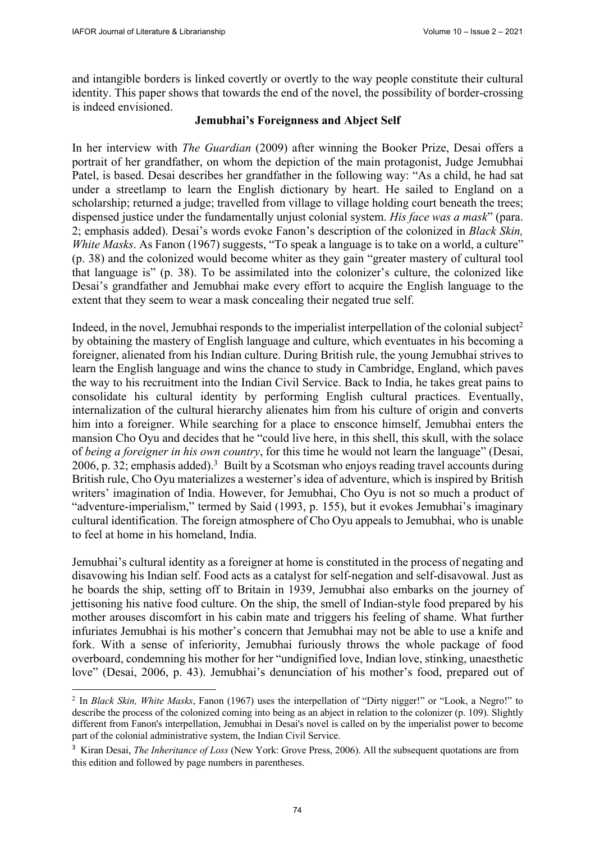and intangible borders is linked covertly or overtly to the way people constitute their cultural identity. This paper shows that towards the end of the novel, the possibility of border-crossing is indeed envisioned.

## **Jemubhai's Foreignness and Abject Self**

In her interview with *The Guardian* (2009) after winning the Booker Prize, Desai offers a portrait of her grandfather, on whom the depiction of the main protagonist, Judge Jemubhai Patel, is based. Desai describes her grandfather in the following way: "As a child, he had sat under a streetlamp to learn the English dictionary by heart. He sailed to England on a scholarship; returned a judge; travelled from village to village holding court beneath the trees; dispensed justice under the fundamentally unjust colonial system. *His face was a mask*" (para. 2; emphasis added). Desai's words evoke Fanon's description of the colonized in *Black Skin, White Masks*. As Fanon (1967) suggests, "To speak a language is to take on a world, a culture" (p. 38) and the colonized would become whiter as they gain "greater mastery of cultural tool that language is" (p. 38). To be assimilated into the colonizer's culture, the colonized like Desai's grandfather and Jemubhai make every effort to acquire the English language to the extent that they seem to wear a mask concealing their negated true self.

Indeed, in the novel, Jemubhai responds to the imperialist interpellation of the colonial subject<sup>2</sup> by obtaining the mastery of English language and culture, which eventuates in his becoming a foreigner, alienated from his Indian culture. During British rule, the young Jemubhai strives to learn the English language and wins the chance to study in Cambridge, England, which paves the way to his recruitment into the Indian Civil Service. Back to India, he takes great pains to consolidate his cultural identity by performing English cultural practices. Eventually, internalization of the cultural hierarchy alienates him from his culture of origin and converts him into a foreigner. While searching for a place to ensconce himself, Jemubhai enters the mansion Cho Oyu and decides that he "could live here, in this shell, this skull, with the solace of *being a foreigner in his own country*, for this time he would not learn the language" (Desai, 2006, p. 32; emphasis added).<sup>3</sup> Built by a Scotsman who enjoys reading travel accounts during British rule, Cho Oyu materializes a westerner's idea of adventure, which is inspired by British writers' imagination of India. However, for Jemubhai, Cho Oyu is not so much a product of "adventure-imperialism," termed by Said (1993, p. 155), but it evokes Jemubhai's imaginary cultural identification. The foreign atmosphere of Cho Oyu appeals to Jemubhai, who is unable to feel at home in his homeland, India.

Jemubhai's cultural identity as a foreigner at home is constituted in the process of negating and disavowing his Indian self. Food acts as a catalyst for self-negation and self-disavowal. Just as he boards the ship, setting off to Britain in 1939, Jemubhai also embarks on the journey of jettisoning his native food culture. On the ship, the smell of Indian-style food prepared by his mother arouses discomfort in his cabin mate and triggers his feeling of shame. What further infuriates Jemubhai is his mother's concern that Jemubhai may not be able to use a knife and fork. With a sense of inferiority, Jemubhai furiously throws the whole package of food overboard, condemning his mother for her "undignified love, Indian love, stinking, unaesthetic love" (Desai, 2006, p. 43). Jemubhai's denunciation of his mother's food, prepared out of

<sup>2</sup> In *Black Skin, White Masks*, Fanon (1967) uses the interpellation of "Dirty nigger!" or "Look, a Negro!" to describe the process of the colonized coming into being as an abject in relation to the colonizer (p. 109). Slightly different from Fanon's interpellation, Jemubhai in Desai's novel is called on by the imperialist power to become part of the colonial administrative system, the Indian Civil Service.

<sup>&</sup>lt;sup>3</sup> Kiran Desai, *The Inheritance of Loss* (New York: Grove Press, 2006). All the subsequent quotations are from this edition and followed by page numbers in parentheses.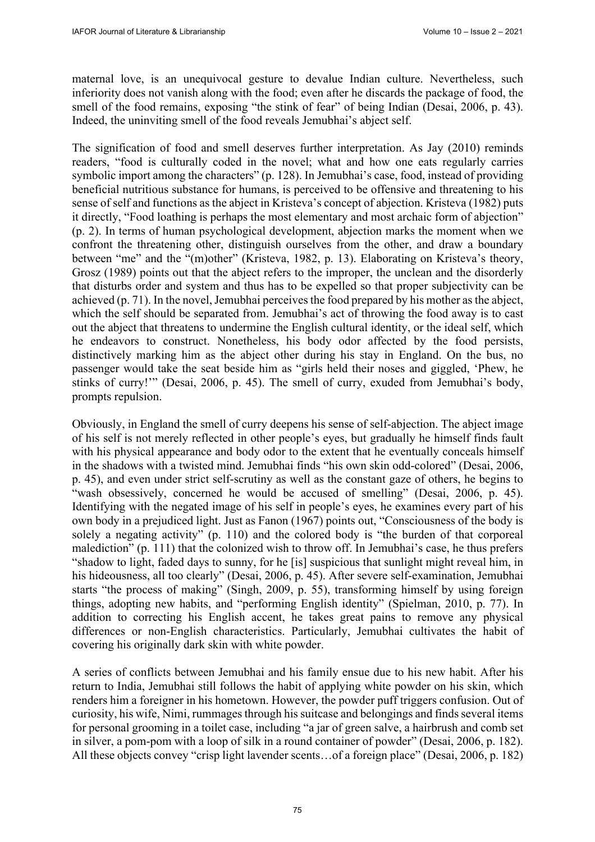maternal love, is an unequivocal gesture to devalue Indian culture. Nevertheless, such inferiority does not vanish along with the food; even after he discards the package of food, the smell of the food remains, exposing "the stink of fear" of being Indian (Desai, 2006, p. 43). Indeed, the uninviting smell of the food reveals Jemubhai's abject self.

The signification of food and smell deserves further interpretation. As Jay (2010) reminds readers, "food is culturally coded in the novel; what and how one eats regularly carries symbolic import among the characters" (p. 128). In Jemubhai's case, food, instead of providing beneficial nutritious substance for humans, is perceived to be offensive and threatening to his sense of self and functions as the abject in Kristeva's concept of abjection. Kristeva (1982) puts it directly, "Food loathing is perhaps the most elementary and most archaic form of abjection" (p. 2). In terms of human psychological development, abjection marks the moment when we confront the threatening other, distinguish ourselves from the other, and draw a boundary between "me" and the "(m)other" (Kristeva, 1982, p. 13). Elaborating on Kristeva's theory, Grosz (1989) points out that the abject refers to the improper, the unclean and the disorderly that disturbs order and system and thus has to be expelled so that proper subjectivity can be achieved (p. 71). In the novel, Jemubhai perceives the food prepared by his mother as the abject, which the self should be separated from. Jemubhai's act of throwing the food away is to cast out the abject that threatens to undermine the English cultural identity, or the ideal self, which he endeavors to construct. Nonetheless, his body odor affected by the food persists, distinctively marking him as the abject other during his stay in England. On the bus, no passenger would take the seat beside him as "girls held their noses and giggled, 'Phew, he stinks of curry!'" (Desai, 2006, p. 45). The smell of curry, exuded from Jemubhai's body, prompts repulsion.

Obviously, in England the smell of curry deepens his sense of self-abjection. The abject image of his self is not merely reflected in other people's eyes, but gradually he himself finds fault with his physical appearance and body odor to the extent that he eventually conceals himself in the shadows with a twisted mind. Jemubhai finds "his own skin odd-colored" (Desai, 2006, p. 45), and even under strict self-scrutiny as well as the constant gaze of others, he begins to "wash obsessively, concerned he would be accused of smelling" (Desai, 2006, p. 45). Identifying with the negated image of his self in people's eyes, he examines every part of his own body in a prejudiced light. Just as Fanon (1967) points out, "Consciousness of the body is solely a negating activity" (p. 110) and the colored body is "the burden of that corporeal malediction" (p. 111) that the colonized wish to throw off. In Jemubhai's case, he thus prefers "shadow to light, faded days to sunny, for he [is] suspicious that sunlight might reveal him, in his hideousness, all too clearly" (Desai, 2006, p. 45). After severe self-examination, Jemubhai starts "the process of making" (Singh, 2009, p. 55), transforming himself by using foreign things, adopting new habits, and "performing English identity" (Spielman, 2010, p. 77). In addition to correcting his English accent, he takes great pains to remove any physical differences or non-English characteristics. Particularly, Jemubhai cultivates the habit of covering his originally dark skin with white powder.

 A series of conflicts between Jemubhai and his family ensue due to his new habit. After his return to India, Jemubhai still follows the habit of applying white powder on his skin, which renders him a foreigner in his hometown. However, the powder puff triggers confusion. Out of curiosity, his wife, Nimi, rummages through his suitcase and belongings and finds several items for personal grooming in a toilet case, including "a jar of green salve, a hairbrush and comb set in silver, a pom-pom with a loop of silk in a round container of powder" (Desai, 2006, p. 182). All these objects convey "crisp light lavender scents…of a foreign place" (Desai, 2006, p. 182)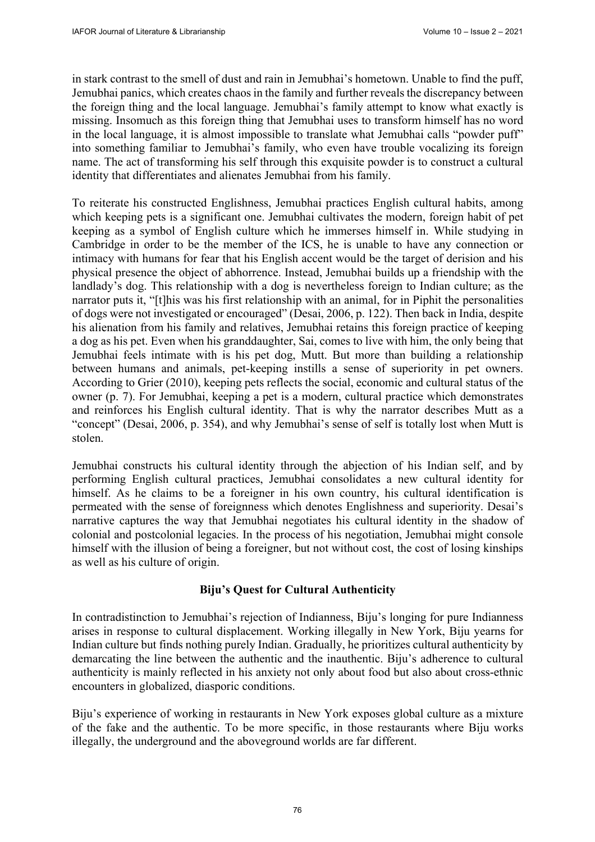in stark contrast to the smell of dust and rain in Jemubhai's hometown. Unable to find the puff, Jemubhai panics, which creates chaos in the family and further reveals the discrepancy between the foreign thing and the local language. Jemubhai's family attempt to know what exactly is missing. Insomuch as this foreign thing that Jemubhai uses to transform himself has no word in the local language, it is almost impossible to translate what Jemubhai calls "powder puff" into something familiar to Jemubhai's family, who even have trouble vocalizing its foreign name. The act of transforming his self through this exquisite powder is to construct a cultural identity that differentiates and alienates Jemubhai from his family.

 To reiterate his constructed Englishness, Jemubhai practices English cultural habits, among which keeping pets is a significant one. Jemubhai cultivates the modern, foreign habit of pet keeping as a symbol of English culture which he immerses himself in. While studying in Cambridge in order to be the member of the ICS, he is unable to have any connection or intimacy with humans for fear that his English accent would be the target of derision and his physical presence the object of abhorrence. Instead, Jemubhai builds up a friendship with the landlady's dog. This relationship with a dog is nevertheless foreign to Indian culture; as the narrator puts it, "[t]his was his first relationship with an animal, for in Piphit the personalities of dogs were not investigated or encouraged" (Desai, 2006, p. 122). Then back in India, despite his alienation from his family and relatives, Jemubhai retains this foreign practice of keeping a dog as his pet. Even when his granddaughter, Sai, comes to live with him, the only being that Jemubhai feels intimate with is his pet dog, Mutt. But more than building a relationship between humans and animals, pet-keeping instills a sense of superiority in pet owners. According to Grier (2010), keeping pets reflects the social, economic and cultural status of the owner (p. 7). For Jemubhai, keeping a pet is a modern, cultural practice which demonstrates and reinforces his English cultural identity. That is why the narrator describes Mutt as a "concept" (Desai, 2006, p. 354), and why Jemubhai's sense of self is totally lost when Mutt is stolen.

Jemubhai constructs his cultural identity through the abjection of his Indian self, and by performing English cultural practices, Jemubhai consolidates a new cultural identity for himself. As he claims to be a foreigner in his own country, his cultural identification is permeated with the sense of foreignness which denotes Englishness and superiority. Desai's narrative captures the way that Jemubhai negotiates his cultural identity in the shadow of colonial and postcolonial legacies. In the process of his negotiation, Jemubhai might console himself with the illusion of being a foreigner, but not without cost, the cost of losing kinships as well as his culture of origin.

## **Biju's Quest for Cultural Authenticity**

In contradistinction to Jemubhai's rejection of Indianness, Biju's longing for pure Indianness arises in response to cultural displacement. Working illegally in New York, Biju yearns for Indian culture but finds nothing purely Indian. Gradually, he prioritizes cultural authenticity by demarcating the line between the authentic and the inauthentic. Biju's adherence to cultural authenticity is mainly reflected in his anxiety not only about food but also about cross-ethnic encounters in globalized, diasporic conditions.

Biju's experience of working in restaurants in New York exposes global culture as a mixture of the fake and the authentic. To be more specific, in those restaurants where Biju works illegally, the underground and the aboveground worlds are far different.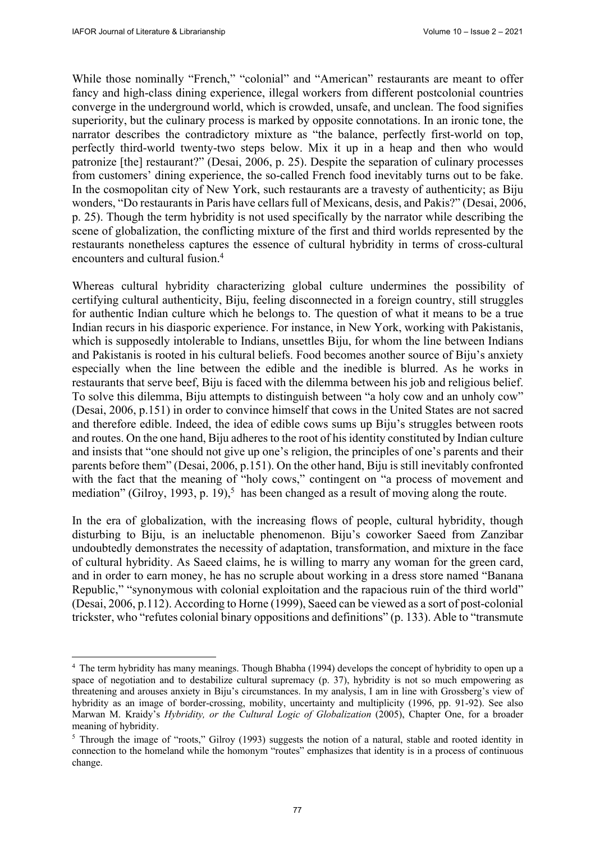While those nominally "French," "colonial" and "American" restaurants are meant to offer fancy and high-class dining experience, illegal workers from different postcolonial countries converge in the underground world, which is crowded, unsafe, and unclean. The food signifies superiority, but the culinary process is marked by opposite connotations. In an ironic tone, the narrator describes the contradictory mixture as "the balance, perfectly first-world on top, perfectly third-world twenty-two steps below. Mix it up in a heap and then who would patronize [the] restaurant?" (Desai, 2006, p. 25). Despite the separation of culinary processes from customers' dining experience, the so-called French food inevitably turns out to be fake. In the cosmopolitan city of New York, such restaurants are a travesty of authenticity; as Biju wonders, "Do restaurants in Paris have cellars full of Mexicans, desis, and Pakis?" (Desai, 2006, p. 25). Though the term hybridity is not used specifically by the narrator while describing the scene of globalization, the conflicting mixture of the first and third worlds represented by the restaurants nonetheless captures the essence of cultural hybridity in terms of cross-cultural encounters and cultural fusion.4

Whereas cultural hybridity characterizing global culture undermines the possibility of certifying cultural authenticity, Biju, feeling disconnected in a foreign country, still struggles for authentic Indian culture which he belongs to. The question of what it means to be a true Indian recurs in his diasporic experience. For instance, in New York, working with Pakistanis, which is supposedly intolerable to Indians, unsettles Biju, for whom the line between Indians and Pakistanis is rooted in his cultural beliefs. Food becomes another source of Biju's anxiety especially when the line between the edible and the inedible is blurred. As he works in restaurants that serve beef, Biju is faced with the dilemma between his job and religious belief. To solve this dilemma, Biju attempts to distinguish between "a holy cow and an unholy cow" (Desai, 2006, p.151) in order to convince himself that cows in the United States are not sacred and therefore edible. Indeed, the idea of edible cows sums up Biju's struggles between roots and routes. On the one hand, Biju adheres to the root of his identity constituted by Indian culture and insists that "one should not give up one's religion, the principles of one's parents and their parents before them" (Desai, 2006, p.151). On the other hand, Biju is still inevitably confronted with the fact that the meaning of "holy cows," contingent on "a process of movement and mediation" (Gilroy, 1993, p. 19),<sup>5</sup> has been changed as a result of moving along the route.

In the era of globalization, with the increasing flows of people, cultural hybridity, though disturbing to Biju, is an ineluctable phenomenon. Biju's coworker Saeed from Zanzibar undoubtedly demonstrates the necessity of adaptation, transformation, and mixture in the face of cultural hybridity. As Saeed claims, he is willing to marry any woman for the green card, and in order to earn money, he has no scruple about working in a dress store named "Banana Republic," "synonymous with colonial exploitation and the rapacious ruin of the third world" (Desai, 2006, p.112). According to Horne (1999), Saeed can be viewed as a sort of post-colonial trickster, who "refutes colonial binary oppositions and definitions" (p. 133). Able to "transmute

<sup>4</sup> The term hybridity has many meanings. Though Bhabha (1994) develops the concept of hybridity to open up a space of negotiation and to destabilize cultural supremacy (p. 37), hybridity is not so much empowering as threatening and arouses anxiety in Biju's circumstances. In my analysis, I am in line with Grossberg's view of hybridity as an image of border-crossing, mobility, uncertainty and multiplicity (1996, pp. 91-92). See also Marwan M. Kraidy's *Hybridity, or the Cultural Logic of Globalization* (2005), Chapter One, for a broader meaning of hybridity.

<sup>&</sup>lt;sup>5</sup> Through the image of "roots," Gilroy (1993) suggests the notion of a natural, stable and rooted identity in connection to the homeland while the homonym "routes" emphasizes that identity is in a process of continuous change.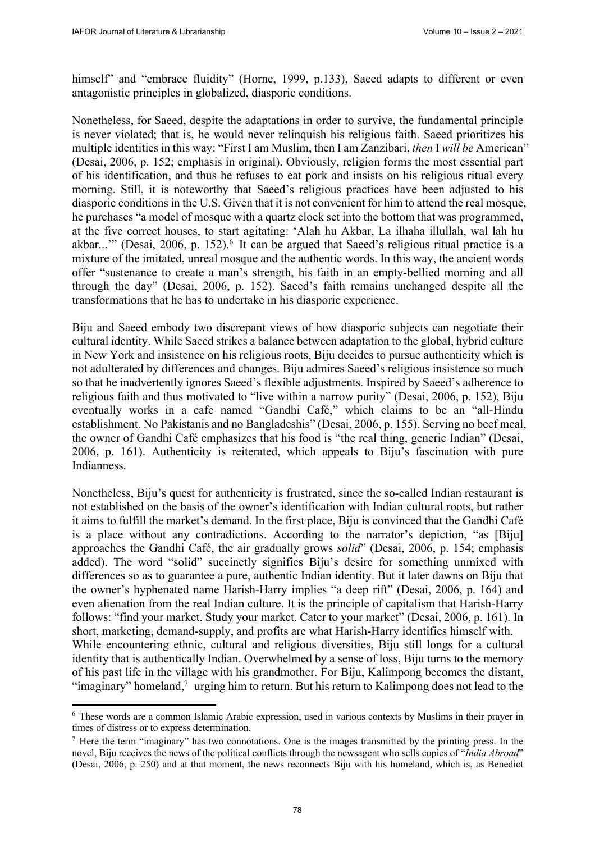himself" and "embrace fluidity" (Horne, 1999, p.133), Saeed adapts to different or even antagonistic principles in globalized, diasporic conditions.

Nonetheless, for Saeed, despite the adaptations in order to survive, the fundamental principle is never violated; that is, he would never relinquish his religious faith. Saeed prioritizes his multiple identities in this way: "First I am Muslim, then I am Zanzibari, *then* I *will be* American" (Desai, 2006, p. 152; emphasis in original). Obviously, religion forms the most essential part of his identification, and thus he refuses to eat pork and insists on his religious ritual every morning. Still, it is noteworthy that Saeed's religious practices have been adjusted to his diasporic conditions in the U.S. Given that it is not convenient for him to attend the real mosque, he purchases "a model of mosque with a quartz clock set into the bottom that was programmed, at the five correct houses, to start agitating: 'Alah hu Akbar, La ilhaha illullah, wal lah hu akbar..."" (Desai, 2006, p. 152).<sup>6</sup> It can be argued that Saeed's religious ritual practice is a mixture of the imitated, unreal mosque and the authentic words. In this way, the ancient words offer "sustenance to create a man's strength, his faith in an empty-bellied morning and all through the day" (Desai, 2006, p. 152). Saeed's faith remains unchanged despite all the transformations that he has to undertake in his diasporic experience.

Biju and Saeed embody two discrepant views of how diasporic subjects can negotiate their cultural identity. While Saeed strikes a balance between adaptation to the global, hybrid culture in New York and insistence on his religious roots, Biju decides to pursue authenticity which is not adulterated by differences and changes. Biju admires Saeed's religious insistence so much so that he inadvertently ignores Saeed's flexible adjustments. Inspired by Saeed's adherence to religious faith and thus motivated to "live within a narrow purity" (Desai, 2006, p. 152), Biju eventually works in a cafe named "Gandhi Café," which claims to be an "all-Hindu establishment. No Pakistanis and no Bangladeshis" (Desai, 2006, p. 155). Serving no beef meal, the owner of Gandhi Café emphasizes that his food is "the real thing, generic Indian" (Desai, 2006, p. 161). Authenticity is reiterated, which appeals to Biju's fascination with pure Indianness.

Nonetheless, Biju's quest for authenticity is frustrated, since the so-called Indian restaurant is not established on the basis of the owner's identification with Indian cultural roots, but rather it aims to fulfill the market's demand. In the first place, Biju is convinced that the Gandhi Café is a place without any contradictions. According to the narrator's depiction, "as [Biju] approaches the Gandhi Café, the air gradually grows *solid*" (Desai, 2006, p. 154; emphasis added). The word "solid" succinctly signifies Biju's desire for something unmixed with differences so as to guarantee a pure, authentic Indian identity. But it later dawns on Biju that the owner's hyphenated name Harish-Harry implies "a deep rift" (Desai, 2006, p. 164) and even alienation from the real Indian culture. It is the principle of capitalism that Harish-Harry follows: "find your market. Study your market. Cater to your market" (Desai, 2006, p. 161). In short, marketing, demand-supply, and profits are what Harish-Harry identifies himself with. While encountering ethnic, cultural and religious diversities, Biju still longs for a cultural identity that is authentically Indian. Overwhelmed by a sense of loss, Biju turns to the memory of his past life in the village with his grandmother. For Biju, Kalimpong becomes the distant, "imaginary" homeland, $\alpha$  urging him to return. But his return to Kalimpong does not lead to the

<sup>6</sup> These words are a common Islamic Arabic expression, used in various contexts by Muslims in their prayer in times of distress or to express determination.

 $<sup>7</sup>$  Here the term "imaginary" has two connotations. One is the images transmitted by the printing press. In the</sup> novel, Biju receives the news of the political conflicts through the newsagent who sells copies of "*India Abroad*" (Desai, 2006, p. 250) and at that moment, the news reconnects Biju with his homeland, which is, as Benedict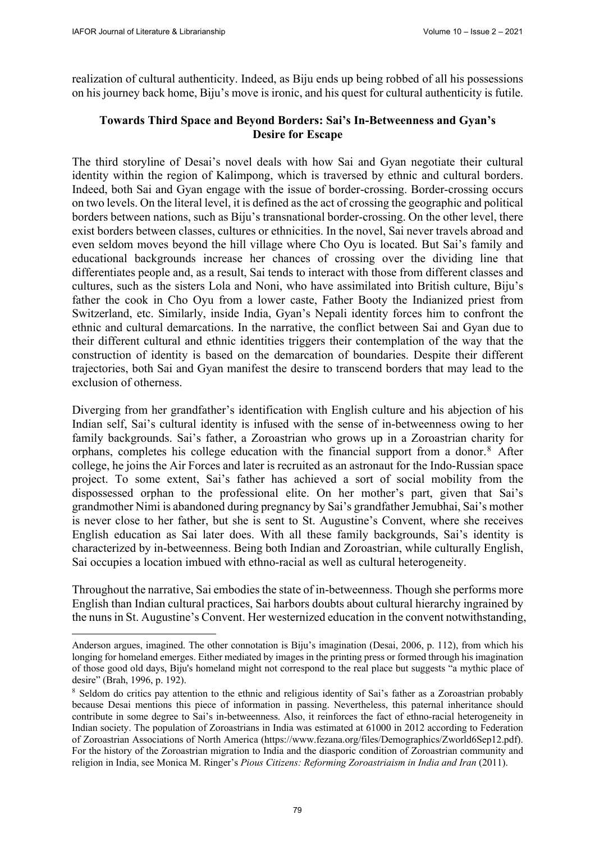realization of cultural authenticity. Indeed, as Biju ends up being robbed of all his possessions on his journey back home, Biju's move is ironic, and his quest for cultural authenticity is futile.

## **Towards Third Space and Beyond Borders: Sai's In-Betweenness and Gyan's Desire for Escape**

The third storyline of Desai's novel deals with how Sai and Gyan negotiate their cultural identity within the region of Kalimpong, which is traversed by ethnic and cultural borders. Indeed, both Sai and Gyan engage with the issue of border-crossing. Border-crossing occurs on two levels. On the literal level, it is defined as the act of crossing the geographic and political borders between nations, such as Biju's transnational border-crossing. On the other level, there exist borders between classes, cultures or ethnicities. In the novel, Sai never travels abroad and even seldom moves beyond the hill village where Cho Oyu is located. But Sai's family and educational backgrounds increase her chances of crossing over the dividing line that differentiates people and, as a result, Sai tends to interact with those from different classes and cultures, such as the sisters Lola and Noni, who have assimilated into British culture, Biju's father the cook in Cho Oyu from a lower caste, Father Booty the Indianized priest from Switzerland, etc. Similarly, inside India, Gyan's Nepali identity forces him to confront the ethnic and cultural demarcations. In the narrative, the conflict between Sai and Gyan due to their different cultural and ethnic identities triggers their contemplation of the way that the construction of identity is based on the demarcation of boundaries. Despite their different trajectories, both Sai and Gyan manifest the desire to transcend borders that may lead to the exclusion of otherness.

Diverging from her grandfather's identification with English culture and his abjection of his Indian self, Sai's cultural identity is infused with the sense of in-betweenness owing to her family backgrounds. Sai's father, a Zoroastrian who grows up in a Zoroastrian charity for orphans, completes his college education with the financial support from a donor.8 After college, he joins the Air Forces and later is recruited as an astronaut for the Indo-Russian space project. To some extent, Sai's father has achieved a sort of social mobility from the dispossessed orphan to the professional elite. On her mother's part, given that Sai's grandmother Nimi is abandoned during pregnancy by Sai's grandfather Jemubhai, Sai's mother is never close to her father, but she is sent to St. Augustine's Convent, where she receives English education as Sai later does. With all these family backgrounds, Sai's identity is characterized by in-betweenness. Being both Indian and Zoroastrian, while culturally English, Sai occupies a location imbued with ethno-racial as well as cultural heterogeneity.

Throughout the narrative, Sai embodies the state of in-betweenness. Though she performs more English than Indian cultural practices, Sai harbors doubts about cultural hierarchy ingrained by the nuns in St. Augustine's Convent. Her westernized education in the convent notwithstanding,

Anderson argues, imagined. The other connotation is Biju's imagination (Desai, 2006, p. 112), from which his longing for homeland emerges. Either mediated by images in the printing press or formed through his imagination of those good old days, Biju's homeland might not correspond to the real place but suggests "a mythic place of desire" (Brah, 1996, p. 192).

<sup>&</sup>lt;sup>8</sup> Seldom do critics pay attention to the ethnic and religious identity of Sai's father as a Zoroastrian probably because Desai mentions this piece of information in passing. Nevertheless, this paternal inheritance should contribute in some degree to Sai's in-betweenness. Also, it reinforces the fact of ethno-racial heterogeneity in Indian society. The population of Zoroastrians in India was estimated at 61000 in 2012 according to Federation of Zoroastrian Associations of North America [\(https://www.fezana.org/files/Demographics/Zworld6Sep12.pdf\).](https://www.fezana.org/files/Demographics/Zworld6Sep12.pdf)  For the history of the Zoroastrian migration to India and the diasporic condition of Zoroastrian community and religion in India, see Monica M. Ringer's *Pious Citizens: Reforming Zoroastriaism in India and Iran* (2011).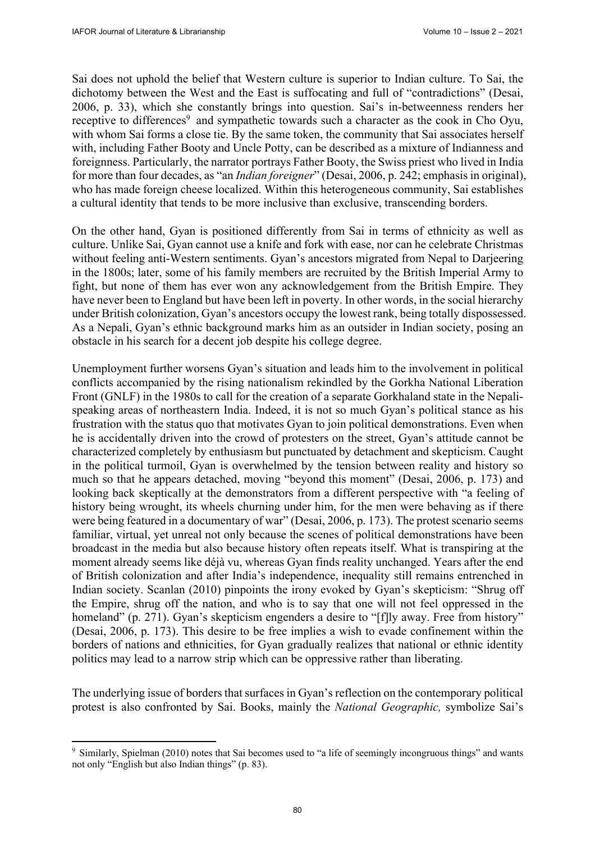Sai does not uphold the belief that Western culture is superior to Indian culture. To Sai, the dichotomy between the West and the East is suffocating and full of "contradictions" (Desai, 2006, p. 33), which she constantly brings into question. Sai's in-betweenness renders her receptive to differences<sup>9</sup> and sympathetic towards such a character as the cook in Cho Oyu, with whom Sai forms a close tie. By the same token, the community that Sai associates herself with, including Father Booty and Uncle Potty, can be described as a mixture of Indianness and foreignness. Particularly, the narrator portrays Father Booty, the Swiss priest who lived in India for more than four decades, as "an *Indian foreigner*" (Desai, 2006, p. 242; emphasis in original), who has made foreign cheese localized. Within this heterogeneous community, Sai establishes a cultural identity that tends to be more inclusive than exclusive, transcending borders.

On the other hand, Gyan is positioned differently from Sai in terms of ethnicity as well as culture. Unlike Sai, Gyan cannot use a knife and fork with ease, nor can he celebrate Christmas without feeling anti-Western sentiments. Gyan's ancestors migrated from Nepal to Darjeering in the 1800s; later, some of his family members are recruited by the British Imperial Army to fight, but none of them has ever won any acknowledgement from the British Empire. They have never been to England but have been left in poverty. In other words, in the social hierarchy under British colonization, Gyan's ancestors occupy the lowest rank, being totally dispossessed. As a Nepali, Gyan's ethnic background marks him as an outsider in Indian society, posing an obstacle in his search for a decent job despite his college degree.

Unemployment further worsens Gyan's situation and leads him to the involvement in political conflicts accompanied by the rising nationalism rekindled by the Gorkha National Liberation Front (GNLF) in the 1980s to call for the creation of a separate Gorkhaland state in the Nepalispeaking areas of northeastern India. Indeed, it is not so much Gyan's political stance as his frustration with the status quo that motivates Gyan to join political demonstrations. Even when he is accidentally driven into the crowd of protesters on the street, Gyan's attitude cannot be characterized completely by enthusiasm but punctuated by detachment and skepticism. Caught in the political turmoil, Gyan is overwhelmed by the tension between reality and history so much so that he appears detached, moving "beyond this moment" (Desai, 2006, p. 173) and looking back skeptically at the demonstrators from a different perspective with "a feeling of history being wrought, its wheels churning under him, for the men were behaving as if there were being featured in a documentary of war" (Desai, 2006, p. 173). The protest scenario seems familiar, virtual, yet unreal not only because the scenes of political demonstrations have been broadcast in the media but also because history often repeats itself. What is transpiring at the moment already seems like déjà vu, whereas Gyan finds reality unchanged. Years after the end of British colonization and after India's independence, inequality still remains entrenched in Indian society. Scanlan (2010) pinpoints the irony evoked by Gyan's skepticism: "Shrug off the Empire, shrug off the nation, and who is to say that one will not feel oppressed in the homeland" (p. 271). Gyan's skepticism engenders a desire to "[f]ly away. Free from history" (Desai, 2006, p. 173). This desire to be free implies a wish to evade confinement within the borders of nations and ethnicities, for Gyan gradually realizes that national or ethnic identity politics may lead to a narrow strip which can be oppressive rather than liberating.

The underlying issue of borders that surfaces in Gyan's reflection on the contemporary political protest is also confronted by Sai. Books, mainly the *National Geographic,* symbolize Sai's

<sup>9</sup> Similarly, Spielman (2010) notes that Sai becomes used to "a life of seemingly incongruous things" and wants not only "English but also Indian things" (p. 83).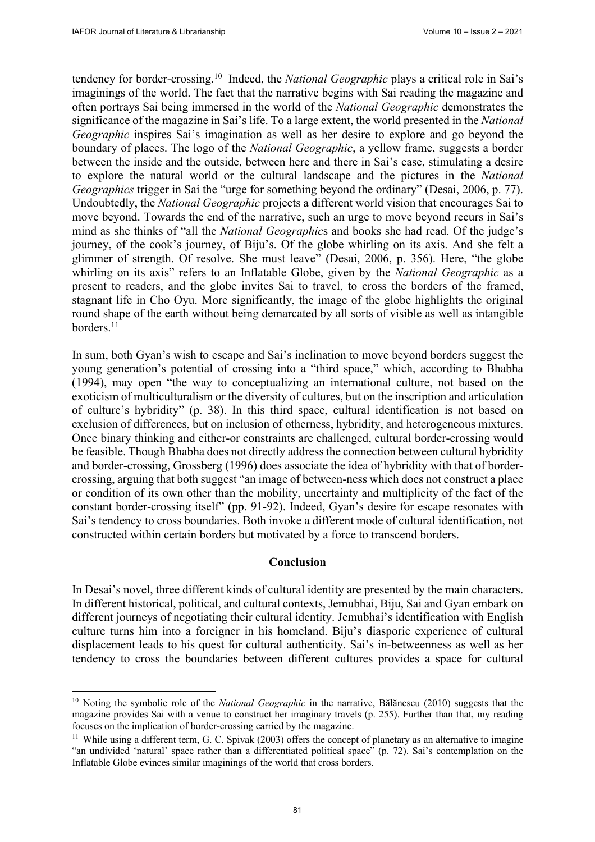tendency for border-crossing.10 Indeed, the *National Geographic* plays a critical role in Sai's imaginings of the world. The fact that the narrative begins with Sai reading the magazine and often portrays Sai being immersed in the world of the *National Geographic* demonstrates the significance of the magazine in Sai's life. To a large extent, the world presented in the *National Geographic* inspires Sai's imagination as well as her desire to explore and go beyond the boundary of places. The logo of the *National Geographic*, a yellow frame, suggests a border between the inside and the outside, between here and there in Sai's case, stimulating a desire to explore the natural world or the cultural landscape and the pictures in the *National Geographics* trigger in Sai the "urge for something beyond the ordinary" (Desai, 2006, p. 77). Undoubtedly, the *National Geographic* projects a different world vision that encourages Sai to move beyond. Towards the end of the narrative, such an urge to move beyond recurs in Sai's mind as she thinks of "all the *National Geographic*s and books she had read. Of the judge's journey, of the cook's journey, of Biju's. Of the globe whirling on its axis. And she felt a glimmer of strength. Of resolve. She must leave" (Desai, 2006, p. 356). Here, "the globe whirling on its axis" refers to an Inflatable Globe, given by the *National Geographic* as a present to readers, and the globe invites Sai to travel, to cross the borders of the framed, stagnant life in Cho Oyu. More significantly, the image of the globe highlights the original round shape of the earth without being demarcated by all sorts of visible as well as intangible borders.<sup>11</sup>

In sum, both Gyan's wish to escape and Sai's inclination to move beyond borders suggest the young generation's potential of crossing into a "third space," which, according to Bhabha (1994), may open "the way to conceptualizing an international culture, not based on the exoticism of multiculturalism or the diversity of cultures, but on the inscription and articulation of culture's hybridity" (p. 38). In this third space, cultural identification is not based on exclusion of differences, but on inclusion of otherness, hybridity, and heterogeneous mixtures. Once binary thinking and either-or constraints are challenged, cultural border-crossing would be feasible. Though Bhabha does not directly address the connection between cultural hybridity and border-crossing, Grossberg (1996) does associate the idea of hybridity with that of bordercrossing, arguing that both suggest "an image of between-ness which does not construct a place or condition of its own other than the mobility, uncertainty and multiplicity of the fact of the constant border-crossing itself" (pp. 91-92). Indeed, Gyan's desire for escape resonates with Sai's tendency to cross boundaries. Both invoke a different mode of cultural identification, not constructed within certain borders but motivated by a force to transcend borders.

#### **Conclusion**

In Desai's novel, three different kinds of cultural identity are presented by the main characters. In different historical, political, and cultural contexts, Jemubhai, Biju, Sai and Gyan embark on different journeys of negotiating their cultural identity. Jemubhai's identification with English culture turns him into a foreigner in his homeland. Biju's diasporic experience of cultural displacement leads to his quest for cultural authenticity. Sai's in-betweenness as well as her tendency to cross the boundaries between different cultures provides a space for cultural

<sup>10</sup> Noting the symbolic role of the *National Geographic* in the narrative, Bălănescu (2010) suggests that the magazine provides Sai with a venue to construct her imaginary travels (p. 255). Further than that, my reading focuses on the implication of border-crossing carried by the magazine. 11 While using a different term, G. C. Spivak (2003) offers the concept of planetary as an alternative to imagine

<sup>&</sup>quot;an undivided 'natural' space rather than a differentiated political space" (p. 72). Sai's contemplation on the Inflatable Globe evinces similar imaginings of the world that cross borders.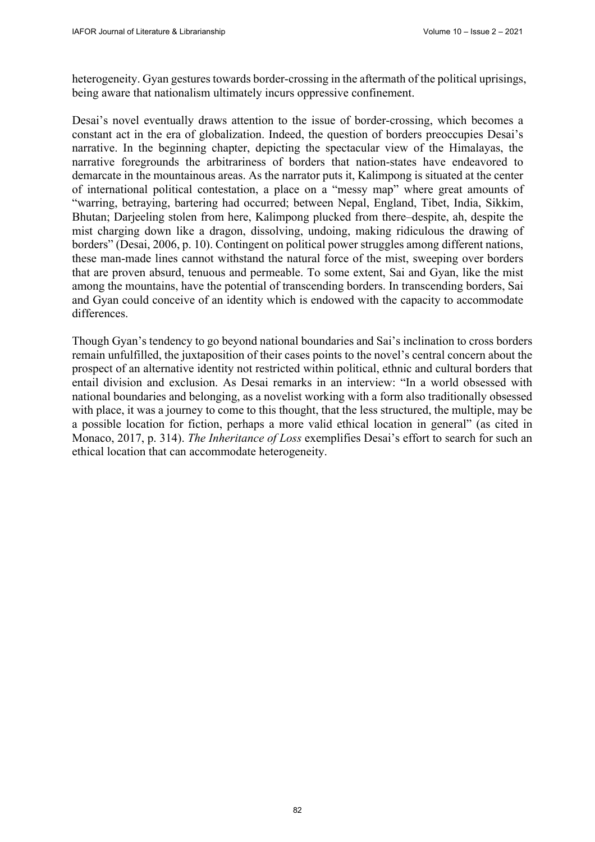heterogeneity. Gyan gestures towards border-crossing in the aftermath of the political uprisings, being aware that nationalism ultimately incurs oppressive confinement.

Desai's novel eventually draws attention to the issue of border-crossing, which becomes a constant act in the era of globalization. Indeed, the question of borders preoccupies Desai's narrative. In the beginning chapter, depicting the spectacular view of the Himalayas, the narrative foregrounds the arbitrariness of borders that nation-states have endeavored to demarcate in the mountainous areas. As the narrator puts it, Kalimpong is situated at the center of international political contestation, a place on a "messy map" where great amounts of "warring, betraying, bartering had occurred; between Nepal, England, Tibet, India, Sikkim, Bhutan; Darjeeling stolen from here, Kalimpong plucked from there–despite, ah, despite the mist charging down like a dragon, dissolving, undoing, making ridiculous the drawing of borders" (Desai, 2006, p. 10). Contingent on political power struggles among different nations, these man-made lines cannot withstand the natural force of the mist, sweeping over borders that are proven absurd, tenuous and permeable. To some extent, Sai and Gyan, like the mist among the mountains, have the potential of transcending borders. In transcending borders, Sai and Gyan could conceive of an identity which is endowed with the capacity to accommodate differences.

Though Gyan's tendency to go beyond national boundaries and Sai's inclination to cross borders remain unfulfilled, the juxtaposition of their cases points to the novel's central concern about the prospect of an alternative identity not restricted within political, ethnic and cultural borders that entail division and exclusion. As Desai remarks in an interview: "In a world obsessed with national boundaries and belonging, as a novelist working with a form also traditionally obsessed with place, it was a journey to come to this thought, that the less structured, the multiple, may be a possible location for fiction, perhaps a more valid ethical location in general" (as cited in Monaco, 2017, p. 314). *The Inheritance of Loss* exemplifies Desai's effort to search for such an ethical location that can accommodate heterogeneity.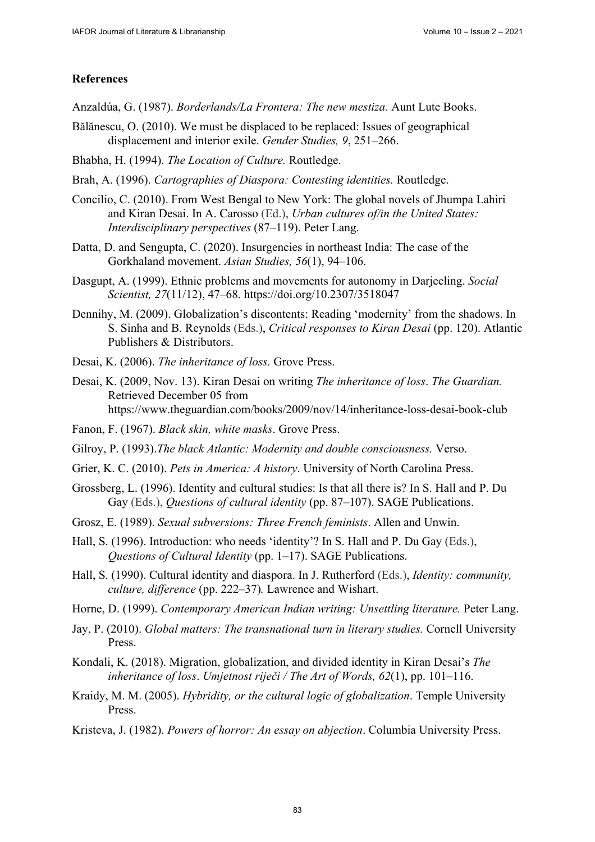### **References**

- Anzaldúa, G. (1987). *Borderlands/La Frontera: The new mestiza.* Aunt Lute Books.
- Bălănescu, O. (2010). We must be displaced to be replaced: Issues of geographical displacement and interior exile. *Gender Studies, 9*, 251–266.
- Bhabha, H. (1994). *The Location of Culture.* Routledge.
- Brah, A. (1996). *Cartographies of Diaspora: Contesting identities.* Routledge.
- Concilio, C. (2010). From West Bengal to New York: The global novels of Jhumpa Lahiri and Kiran Desai. In A. Carosso (Ed.), *Urban cultures of/in the United States: Interdisciplinary perspectives* (87–119). Peter Lang.
- Datta, D. and Sengupta, C. (2020). Insurgencies in northeast India: The case of the Gorkhaland movement. *Asian Studies, 56*(1), 94–106.
- Dasgupt, A. (1999). Ethnic problems and movements for autonomy in Darjeeling. *Social Scientist, 27*(11/12), 47–68. <https://doi.org/10.2307/3518047>
- Dennihy, M. (2009). Globalization's discontents: Reading 'modernity' from the shadows. In S. Sinha and B. Reynolds (Eds.), *Critical responses to Kiran Desai* (pp. 120). Atlantic Publishers & Distributors.
- Desai, K. (2006). *The inheritance of loss.* Grove Press.
- Desai, K. (2009, Nov. 13). Kiran Desai on writing *The inheritance of loss*. *The Guardian.* Retrieved December 05 from <https://www.theguardian.com/books/2009/nov/14/inheritance-loss-desai-book-club>
- Fanon, F. (1967). *Black skin, white masks*. Grove Press.
- Gilroy, P. (1993).*The black Atlantic: Modernity and double consciousness.* Verso.
- Grier, K. C. (2010). *Pets in America: A history*. University of North Carolina Press.
- Grossberg, L. (1996). Identity and cultural studies: Is that all there is? In S. Hall and P. Du Gay (Eds.), *Questions of cultural identity* (pp. 87–107). SAGE Publications.
- Grosz, E. (1989). *Sexual subversions: Three French feminists*. Allen and Unwin.
- Hall, S. (1996). Introduction: who needs 'identity'? In S. Hall and P. Du Gay (Eds.), *Questions of Cultural Identity* (pp. 1–17). SAGE Publications.
- Hall, S. (1990). Cultural identity and diaspora. In J. Rutherford (Eds.), *Identity: community, culture, difference* (pp. 222–37)*.* Lawrence and Wishart.
- Horne, D. (1999). *Contemporary American Indian writing: Unsettling literature.* Peter Lang.
- Jay, P. (2010). *Global matters: The transnational turn in literary studies.* Cornell University Press.
- Kondali, K. (2018). Migration, globalization, and divided identity in Kiran Desai's *The inheritance of loss*. *Umjetnost riječi / The Art of Words, 62*(1), pp. 101–116.
- Kraidy, M. M. (2005). *Hybridity, or the cultural logic of globalization*. Temple University Press.
- Kristeva, J. (1982). *Powers of horror: An essay on abjection*. Columbia University Press.